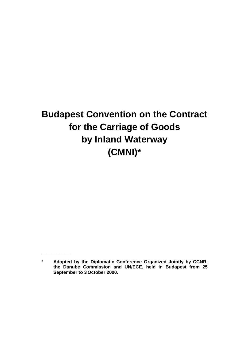# **Budapest Convention on the Contract for the Carriage of Goods by Inland Waterway (CMNI)\***

\_\_\_\_\_\_\_\_\_\_\_

<sup>\*</sup> **Adopted by the Diplomatic Conference Organized Jointly by CCNR, the Danube Commission and UN/ECE, held in Budapest from 25 September to 3 October 2000.**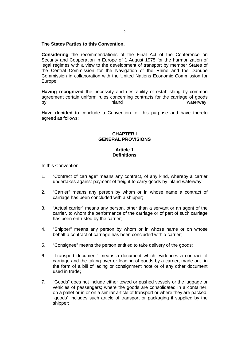## **The States Parties to this Convention,**

**Considering** the recommendations of the Final Act of the Conference on Security and Cooperation in Europe of 1 August 1975 for the harmonization of legal regimes with a view to the development of transport by member States of the Central Commission for the Navigation of the Rhine and the Danube Commission in collaboration with the United Nations Economic Commission for Europe,

**Having recognized** the necessity and desirability of establishing by common agreement certain uniform rules concerning contracts for the carriage of goods by inland the system of the state of the state of the state waterway, the state of the state of the state of the state of the state of the state of the state of the state of the state of the state of the state of the state

**Have decided** to conclude a Convention for this purpose and have thereto agreed as follows:

#### **CHAPTER I GENERAL PROVISIONS**

# **Article 1 Definitions**

In this Convention,

- 1. "Contract of carriage" means any contract, of any kind, whereby a carrier undertakes against payment of freight to carry goods by inland waterway;
- 2. "Carrier" means any person by whom or in whose name a contract of carriage has been concluded with a shipper;
- 3. "Actual carrier" means any person, other than a servant or an agent of the carrier, to whom the performance of the carriage or of part of such carriage has been entrusted by the carrier;
- 4. "Shipper" means any person by whom or in whose name or on whose behalf a contract of carriage has been concluded with a carrier;
- 5. "Consignee" means the person entitled to take delivery of the goods;
- 6. "Transport document" means a document which evidences a contract of carriage and the taking over or loading of goods by a carrier, made out in the form of a bill of lading or consignment note or of any other document used in trade**;**
- 7. "Goods" does not include either towed or pushed vessels or the luggage or vehicles of passengers; where the goods are consolidated in a container, on a pallet or in or on a similar article of transport or where they are packed, "goods" includes such article of transport or packaging if supplied by the shipper;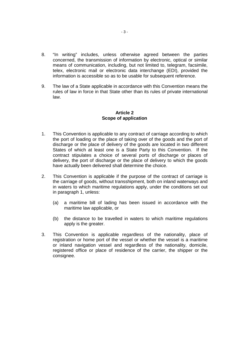- 8. "In writing" includes, unless otherwise agreed between the parties concerned, the transmission of information by electronic, optical or similar means of communication, including, but not limited to, telegram, facsimile, telex, electronic mail or electronic data interchange (EDI), provided the information is accessible so as to be usable for subsequent reference.
- 9. The law of a State applicable in accordance with this Convention means the rules of law in force in that State other than its rules of private international law.

# **Article 2 Scope of application**

- 1. This Convention is applicable to any contract of carriage according to which the port of loading or the place of taking over of the goods and the port of discharge or the place of delivery of the goods are located in two different States of which at least one is a State Party to this Convention. If the contract stipulates a choice of several ports of discharge or places of delivery, the port of discharge or the place of delivery to which the goods have actually been delivered shall determine the choice.
- 2. This Convention is applicable if the purpose of the contract of carriage is the carriage of goods, without transshipment, both on inland waterways and in waters to which maritime regulations apply, under the conditions set out in paragraph 1, unless:
	- (a) a maritime bill of lading has been issued in accordance with the maritime law applicable, or
	- (b) the distance to be travelled in waters to which maritime regulations apply is the greater.
- 3. This Convention is applicable regardless of the nationality, place of registration or home port of the vessel or whether the vessel is a maritime or inland navigation vessel and regardless of the nationality, domicile, registered office or place of residence of the carrier, the shipper or the consignee.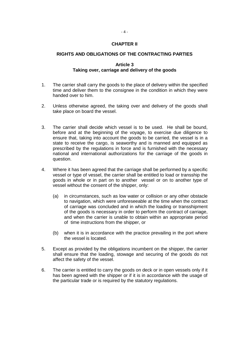# **CHAPTER II**

## **RIGHTS AND OBLIGATIONS OF THE CONTRACTING PARTIES**

#### **Article 3 Taking over, carriage and delivery of the goods**

- 1. The carrier shall carry the goods to the place of delivery within the specified time and deliver them to the consignee in the condition in which they were handed over to him.
- 2. Unless otherwise agreed, the taking over and delivery of the goods shall take place on board the vessel.
- 3. The carrier shall decide which vessel is to be used. He shall be bound, before and at the beginning of the voyage, to exercise due diligence to ensure that, taking into account the goods to be carried, the vessel is in a state to receive the cargo, is seaworthy and is manned and equipped as prescribed by the regulations in force and is furnished with the necessary national and international authorizations for the carriage of the goods in question.
- 4. Where it has been agreed that the carriage shall be performed by a specific vessel or type of vessel, the carrier shall be entitled to load or transship the goods in whole or in part on to another vessel or on to another type of vessel without the consent of the shipper, only:
	- (a) in circumstances, such as low water or collision or any other obstacle to navigation, which were unforeseeable at the time when the contract of carriage was concluded and in which the loading or transshipment of the goods is necessary in order to perform the contract of carriage, and when the carrier is unable to obtain within an appropriate period of time instructions from the shipper, or
	- (b) when it is in accordance with the practice prevailing in the port where the vessel is located.
- 5. Except as provided by the obligations incumbent on the shipper, the carrier shall ensure that the loading, stowage and securing of the goods do not affect the safety of the vessel.
- 6. The carrier is entitled to carry the goods on deck or in open vessels only if it has been agreed with the shipper or if it is in accordance with the usage of the particular trade or is required by the statutory regulations.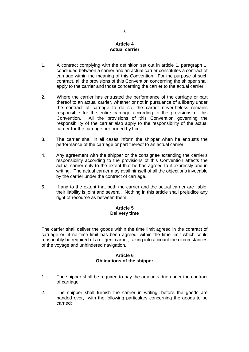# **Article 4 Actual carrier**

- 1. A contract complying with the definition set out in article 1, paragraph 1, concluded between a carrier and an actual carrier constitutes a contract of carriage within the meaning of this Convention. For the purpose of such contract, all the provisions of this Convention concerning the shipper shall apply to the carrier and those concerning the carrier to the actual carrier.
- 2. Where the carrier has entrusted the performance of the carriage or part thereof to an actual carrier, whether or not in pursuance of a liberty under the contract of carriage to do so, the carrier nevertheless remains responsible for the entire carriage according to the provisions of this Convention. All the provisions of this Convention governing the responsibility of the carrier also apply to the responsibility of the actual carrier for the carriage performed by him.
- 3. The carrier shall in all cases inform the shipper when he entrusts the performance of the carriage or part thereof to an actual carrier.
- 4. Any agreement with the shipper or the consignee extending the carrier's responsibility according to the provisions of this Convention affects the actual carrier only to the extent that he has agreed to it expressly and in writing. The actual carrier may avail himself of all the objections invocable by the carrier under the contract of carriage.
- 5. If and to the extent that both the carrier and the actual carrier are liable, their liability is joint and several. Nothing in this article shall prejudice any right of recourse as between them.

# **Article 5 Delivery time**

The carrier shall deliver the goods within the time limit agreed in the contract of carriage or, if no time limit has been agreed, within the time limit which could reasonably be required of a diligent carrier, taking into account the circumstances of the voyage and unhindered navigation.

# **Article 6 Obligations of the shipper**

- 1. The shipper shall be required to pay the amounts due under the contract of carriage.
- 2. The shipper shall furnish the carrier in writing, before the goods are handed over, with the following particulars concerning the goods to be carried: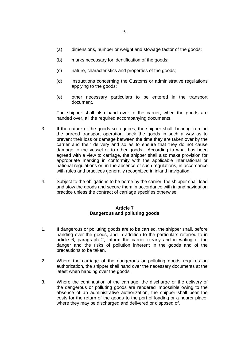- (a) dimensions, number or weight and stowage factor of the goods;
- (b) marks necessary for identification of the goods;
- (c) nature, characteristics and properties of the goods;
- (d) instructions concerning the Customs or administrative regulations applying to the goods;
- (e) other necessary particulars to be entered in the transport document.

The shipper shall also hand over to the carrier, when the goods are handed over, all the required accompanying documents.

- 3. If the nature of the goods so requires, the shipper shall, bearing in mind the agreed transport operation, pack the goods in such a way as to prevent their loss or damage between the time they are taken over by the carrier and their delivery and so as to ensure that they do not cause damage to the vessel or to other goods. According to what has been agreed with a view to carriage, the shipper shall also make provision for appropriate marking in conformity with the applicable international or national regulations or, in the absence of such regulations, in accordance with rules and practices generally recognized in inland navigation.
- 4. Subject to the obligations to be borne by the carrier, the shipper shall load and stow the goods and secure them in accordance with inland navigation practice unless the contract of carriage specifies otherwise.

# **Article 7 Dangerous and polluting goods**

- 1. If dangerous or polluting goods are to be carried, the shipper shall, before handing over the goods, and in addition to the particulars referred to in article 6, paragraph 2, inform the carrier clearly and in writing of the danger and the risks of pollution inherent in the goods and of the precautions to be taken.
- 2. Where the carriage of the dangerous or polluting goods requires an authorization, the shipper shall hand over the necessary documents at the latest when handing over the goods.
- 3. Where the continuation of the carriage, the discharge or the delivery of the dangerous or polluting goods are rendered impossible owing to the absence of an administrative authorization, the shipper shall bear the costs for the return of the goods to the port of loading or a nearer place, where they may be discharged and delivered or disposed of.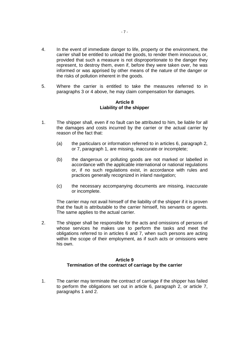- 4. In the event of immediate danger to life, property or the environment, the carrier shall be entitled to unload the goods, to render them innocuous or, provided that such a measure is not disproportionate to the danger they represent, to destroy them, even if, before they were taken over, he was informed or was apprised by other means of the nature of the danger or the risks of pollution inherent in the goods.
- 5. Where the carrier is entitled to take the measures referred to in paragraphs 3 or 4 above, he may claim compensation for damages.

#### **Article 8 Liability of the shipper**

- 1. The shipper shall, even if no fault can be attributed to him, be liable for all the damages and costs incurred by the carrier or the actual carrier by reason of the fact that:
	- (a) the particulars or information referred to in articles 6, paragraph 2, or 7, paragraph 1, are missing, inaccurate or incomplete;
	- (b) the dangerous or polluting goods are not marked or labelled in accordance with the applicable international or national regulations or, if no such regulations exist, in accordance with rules and practices generally recognized in inland navigation;
	- (c) the necessary accompanying documents are missing, inaccurate or incomplete.

The carrier may not avail himself of the liability of the shipper if it is proven that the fault is attributable to the carrier himself, his servants or agents. The same applies to the actual carrier.

2. The shipper shall be responsible for the acts and omissions of persons of whose services he makes use to perform the tasks and meet the obligations referred to in articles 6 and 7, when such persons are acting within the scope of their employment, as if such acts or omissions were his own.

# **Article 9 Termination of the contract of carriage by the carrier**

1. The carrier may terminate the contract of carriage if the shipper has failed to perform the obligations set out in article 6, paragraph 2, or article 7, paragraphs 1 and 2.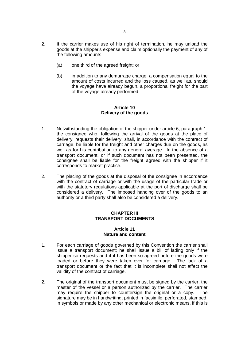- 2. If the carrier makes use of his right of termination, he may unload the goods at the shipper's expense and claim optionally the payment of any of the following amounts:
	- (a) one third of the agreed freight; or
	- (b) in addition to any demurrage charge, a compensation equal to the amount of costs incurred and the loss caused, as well as, should the voyage have already begun, a proportional freight for the part of the voyage already performed.

# **Article 10 Delivery of the goods**

- 1. Notwithstanding the obligation of the shipper under article 6, paragraph 1, the consignee who, following the arrival of the goods at the place of delivery, requests their delivery, shall, in accordance with the contract of carriage, be liable for the freight and other charges due on the goods, as well as for his contribution to any general average. In the absence of a transport document, or if such document has not been presented, the consignee shall be liable for the freight agreed with the shipper if it corresponds to market practice.
- 2. The placing of the goods at the disposal of the consignee in accordance with the contract of carriage or with the usage of the particular trade or with the statutory regulations applicable at the port of discharge shall be considered a delivery. The imposed handing over of the goods to an authority or a third party shall also be considered a delivery.

# **CHAPTER III TRANSPORT DOCUMENTS**

## **Article 11 Nature and content**

- 1. For each carriage of goods governed by this Convention the carrier shall issue a transport document; he shall issue a bill of lading only if the shipper so requests and if it has been so agreed before the goods were loaded or before they were taken over for carriage. The lack of a transport document or the fact that it is incomplete shall not affect the validity of the contract of carriage.
- 2. The original of the transport document must be signed by the carrier, the master of the vessel or a person authorized by the carrier. The carrier may require the shipper to countersign the original or a copy. The signature may be in handwriting, printed in facsimile, perforated, stamped, in symbols or made by any other mechanical or electronic means, if this is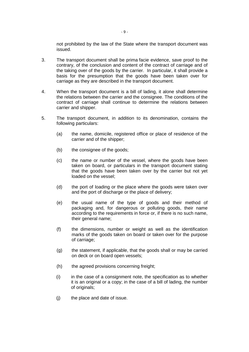not prohibited by the law of the State where the transport document was issued.

- 3. The transport document shall be prima facie evidence, save proof to the contrary, of the conclusion and content of the contract of carriage and of the taking over of the goods by the carrier. In particular, it shall provide a basis for the presumption that the goods have been taken over for carriage as they are described in the transport document.
- 4. When the transport document is a bill of lading, it alone shall determine the relations between the carrier and the consignee. The conditions of the contract of carriage shall continue to determine the relations between carrier and shipper.
- 5. The transport document, in addition to its denomination, contains the following particulars:
	- (a) the name, domicile, registered office or place of residence of the carrier and of the shipper;
	- (b) the consignee of the goods;
	- (c) the name or number of the vessel, where the goods have been taken on board, or particulars in the transport document stating that the goods have been taken over by the carrier but not yet loaded on the vessel;
	- (d) the port of loading or the place where the goods were taken over and the port of discharge or the place of delivery;
	- (e) the usual name of the type of goods and their method of packaging and, for dangerous or polluting goods, their name according to the requirements in force or, if there is no such name, their general name;
	- (f) the dimensions, number or weight as well as the identification marks of the goods taken on board or taken over for the purpose of carriage;
	- (g) the statement, if applicable, that the goods shall or may be carried on deck or on board open vessels;
	- (h) the agreed provisions concerning freight;
	- $(i)$  in the case of a consignment note, the specification as to whether it is an original or a copy; in the case of a bill of lading, the number of originals;
	- (j) the place and date of issue.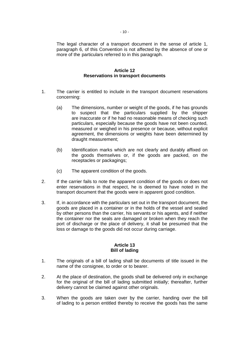The legal character of a transport document in the sense of article 1, paragraph 6, of this Convention is not affected by the absence of one or more of the particulars referred to in this paragraph.

#### **Article 12 Reservations in transport documents**

- 1. The carrier is entitled to include in the transport document reservations concerning:
	- (a) The dimensions, number or weight of the goods, if he has grounds to suspect that the particulars supplied by the shipper are inaccurate or if he had no reasonable means of checking such particulars, especially because the goods have not been counted, measured or weighed in his presence or because, without explicit agreement, the dimensions or weights have been determined by draught measurement;
	- (b) Identification marks which are not clearly and durably affixed on the goods themselves or, if the goods are packed, on the receptacles or packagings;
	- (c) The apparent condition of the goods.
- 2. If the carrier fails to note the apparent condition of the goods or does not enter reservations in that respect, he is deemed to have noted in the transport document that the goods were in apparent good condition.
- 3. If, in accordance with the particulars set out in the transport document, the goods are placed in a container or in the holds of the vessel and sealed by other persons than the carrier, his servants or his agents, and if neither the container nor the seals are damaged or broken when they reach the port of discharge or the place of delivery, it shall be presumed that the loss or damage to the goods did not occur during carriage.

## **Article 13 Bill of lading**

- 1. The originals of a bill of lading shall be documents of title issued in the name of the consignee, to order or to bearer.
- 2. At the place of destination, the goods shall be delivered only in exchange for the original of the bill of lading submitted initially; thereafter, further delivery cannot be claimed against other originals.
- 3. When the goods are taken over by the carrier, handing over the bill of lading to a person entitled thereby to receive the goods has the same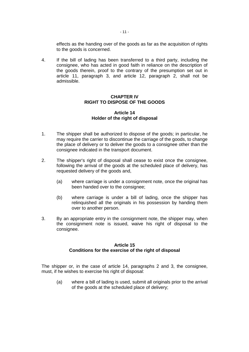effects as the handing over of the goods as far as the acquisition of rights to the goods is concerned.

4. If the bill of lading has been transferred to a third party, including the consignee, who has acted in good faith in reliance on the description of the goods therein, proof to the contrary of the presumption set out in article 11, paragraph 3, and article 12, paragraph 2, shall not be admissible.

# **CHAPTER IV RIGHT TO DISPOSE OF THE GOODS**

## **Article 14 Holder of the right of disposal**

- 1. The shipper shall be authorized to dispose of the goods; in particular, he may require the carrier to discontinue the carriage of the goods, to change the place of delivery or to deliver the goods to a consignee other than the consignee indicated in the transport document.
- 2. The shipper's right of disposal shall cease to exist once the consignee, following the arrival of the goods at the scheduled place of delivery, has requested delivery of the goods and,
	- (a) where carriage is under a consignment note, once the original has been handed over to the consignee;
	- (b) where carriage is under a bill of lading, once the shipper has relinquished all the originals in his possession by handing them over to another person.
- 3. By an appropriate entry in the consignment note, the shipper may, when the consignment note is issued, waive his right of disposal to the consignee.

## **Article 15 Conditions for the exercise of the right of disposal**

The shipper or, in the case of article 14, paragraphs 2 and 3, the consignee, must, if he wishes to exercise his right of disposal:

(a) where a bill of lading is used, submit all originals prior to the arrival of the goods at the scheduled place of delivery;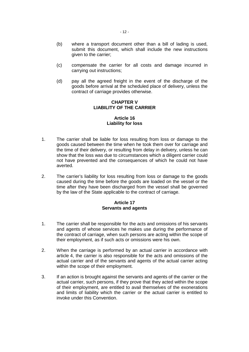- (b) where a transport document other than a bill of lading is used, submit this document, which shall include the new instructions given to the carrier;
- (c) compensate the carrier for all costs and damage incurred in carrying out instructions;
- (d) pay all the agreed freight in the event of the discharge of the goods before arrival at the scheduled place of delivery, unless the contract of carriage provides otherwise.

# **CHAPTER V LIABILITY OF THE CARRIER**

## **Article 16 Liability for loss**

- 1. The carrier shall be liable for loss resulting from loss or damage to the goods caused between the time when he took them over for carriage and the time of their delivery, or resulting from delay in delivery, unless he can show that the loss was due to circumstances which a diligent carrier could not have prevented and the consequences of which he could not have averted.
- 2. The carrier's liability for loss resulting from loss or damage to the goods caused during the time before the goods are loaded on the vessel or the time after they have been discharged from the vessel shall be governed by the law of the State applicable to the contract of carriage.

# **Article 17 Servants and agents**

- 1. The carrier shall be responsible for the acts and omissions of his servants and agents of whose services he makes use during the performance of the contract of carriage, when such persons are acting within the scope of their employment, as if such acts or omissions were his own.
- 2. When the carriage is performed by an actual carrier in accordance with article 4, the carrier is also responsible for the acts and omissions of the actual carrier and of the servants and agents of the actual carrier acting within the scope of their employment.
- 3. If an action is brought against the servants and agents of the carrier or the actual carrier, such persons, if they prove that they acted within the scope of their employment, are entitled to avail themselves of the exonerations and limits of liability which the carrier or the actual carrier is entitled to invoke under this Convention.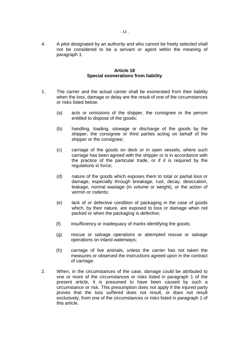4. A pilot designated by an authority and who cannot be freely selected shall not be considered to be a servant or agent within the meaning of paragraph 1.

#### **Article 18 Special exonerations from liability**

- 1. The carrier and the actual carrier shall be exonerated from their liability when the loss, damage or delay are the result of one of the circumstances or risks listed below:
	- (a) acts or omissions of the shipper, the consignee or the person entitled to dispose of the goods;
	- (b) handling, loading, stowage or discharge of the goods by the shipper, the consignee or third parties acting on behalf of the shipper or the consignee;
	- (c) carriage of the goods on deck or in open vessels, where such carriage has been agreed with the shipper or is in accordance with the practice of the particular trade, or if it is required by the regulations in force;
	- (d) nature of the goods which exposes them to total or partial loss or damage, especially through breakage, rust, decay, desiccation, leakage, normal wastage (in volume or weight), or the action of vermin or rodents;
	- (e) lack of or defective condition of packaging in the case of goods which, by their nature, are exposed to loss or damage when not packed or when the packaging is defective;
	- (f) insufficiency or inadequacy of marks identifying the goods;
	- (g) rescue or salvage operations or attempted rescue or salvage operations on inland waterways;
	- (h) carriage of live animals, unless the carrier has not taken the measures or observed the instructions agreed upon in the contract of carriage.
- 2. When, in the circumstances of the case, damage could be attributed to one or more of the circumstances or risks listed in paragraph 1 of the present article, it is presumed to have been caused by such a circumstance or risk. This presumption does not apply if the injured party proves that the loss suffered does not result, or does not result exclusively, from one of the circumstances or risks listed in paragraph 1 of this article.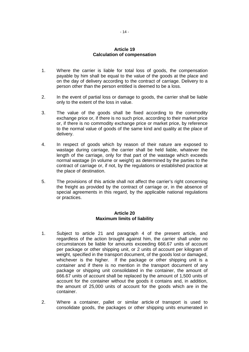## **Article 19 Calculation of compensation**

- 1. Where the carrier is liable for total loss of goods, the compensation payable by him shall be equal to the value of the goods at the place and on the day of delivery according to the contract of carriage. Delivery to a person other than the person entitled is deemed to be a loss.
- 2. In the event of partial loss or damage to goods, the carrier shall be liable only to the extent of the loss in value.
- 3. The value of the goods shall be fixed according to the commodity exchange price or, if there is no such price, according to their market price or, if there is no commodity exchange price or market price, by reference to the normal value of goods of the same kind and quality at the place of delivery.
- 4. In respect of goods which by reason of their nature are exposed to wastage during carriage, the carrier shall be held liable, whatever the length of the carriage, only for that part of the wastage which exceeds normal wastage (in volume or weight) as determined by the parties to the contract of carriage or, if not, by the regulations or established practice at the place of destination.
- 5. The provisions of this article shall not affect the carrier's right concerning the freight as provided by the contract of carriage or, in the absence of special agreements in this regard, by the applicable national regulations or practices.

# **Article 20 Maximum limits of liability**

- 1. Subject to article 21 and paragraph 4 of the present article, and regardless of the action brought against him, the carrier shall under no circumstances be liable for amounts exceeding 666.67 units of account per package or other shipping unit, or 2 units of account per kilogram of weight, specified in the transport document, of the goods lost or damaged, whichever is the higher. If the package or other shipping unit is a container and if there is no mention in the transport document of any package or shipping unit consolidated in the container, the amount of 666.67 units of account shall be replaced by the amount of 1,500 units of account for the container without the goods it contains and, in addition, the amount of 25,000 units of account for the goods which are in the container.
- 2. Where a container, pallet or similar article of transport is used to consolidate goods, the packages or other shipping units enumerated in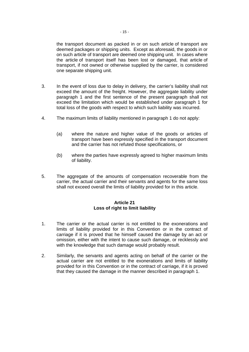the transport document as packed in or on such article of transport are deemed packages or shipping units. Except as aforesaid, the goods in or on such article of transport are deemed one shipping unit. In cases where the article of transport itself has been lost or damaged, that article of transport, if not owned or otherwise supplied by the carrier, is considered one separate shipping unit.

- 3. In the event of loss due to delay in delivery, the carrier's liability shall not exceed the amount of the freight. However, the aggregate liability under paragraph 1 and the first sentence of the present paragraph shall not exceed the limitation which would be established under paragraph 1 for total loss of the goods with respect to which such liability was incurred.
- 4. The maximum limits of liability mentioned in paragraph 1 do not apply:
	- (a) where the nature and higher value of the goods or articles of transport have been expressly specified in the transport document and the carrier has not refuted those specifications, or
	- (b) where the parties have expressly agreed to higher maximum limits of liability.
- 5. The aggregate of the amounts of compensation recoverable from the carrier, the actual carrier and their servants and agents for the same loss shall not exceed overall the limits of liability provided for in this article.

# **Article 21 Loss of right to limit liability**

- 1. The carrier or the actual carrier is not entitled to the exonerations and limits of liability provided for in this Convention or in the contract of carriage if it is proved that he himself caused the damage by an act or omission, either with the intent to cause such damage, or recklessly and with the knowledge that such damage would probably result.
- 2. Similarly, the servants and agents acting on behalf of the carrier or the actual carrier are not entitled to the exonerations and limits of liability provided for in this Convention or in the contract of carriage, if it is proved that they caused the damage in the manner described in paragraph 1.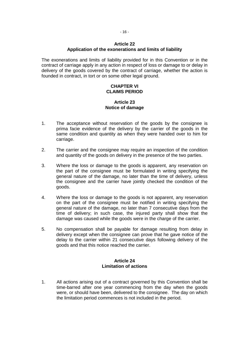## **Article 22 Application of the exonerations and limits of liability**

The exonerations and limits of liability provided for in this Convention or in the contract of carriage apply in any action in respect of loss or damage to or delay in delivery of the goods covered by the contract of carriage, whether the action is founded in contract, in tort or on some other legal ground.

# **CHAPTER VI CLAIMS PERIOD**

# **Article 23 Notice of damage**

- 1. The acceptance without reservation of the goods by the consignee is prima facie evidence of the delivery by the carrier of the goods in the same condition and quantity as when they were handed over to him for carriage.
- 2. The carrier and the consignee may require an inspection of the condition and quantity of the goods on delivery in the presence of the two parties.
- 3. Where the loss or damage to the goods is apparent, any reservation on the part of the consignee must be formulated in writing specifying the general nature of the damage, no later than the time of delivery, unless the consignee and the carrier have jointly checked the condition of the goods.
- 4. Where the loss or damage to the goods is not apparent, any reservation on the part of the consignee must be notified in writing specifying the general nature of the damage, no later than 7 consecutive days from the time of delivery; in such case, the injured party shall show that the damage was caused while the goods were in the charge of the carrier.
- 5. No compensation shall be payable for damage resulting from delay in delivery except when the consignee can prove that he gave notice of the delay to the carrier within 21 consecutive days following delivery of the goods and that this notice reached the carrier.

## **Article 24 Limitation of actions**

1. All actions arising out of a contract governed by this Convention shall be time-barred after one year commencing from the day when the goods were, or should have been, delivered to the consignee. The day on which the limitation period commences is not included in the period.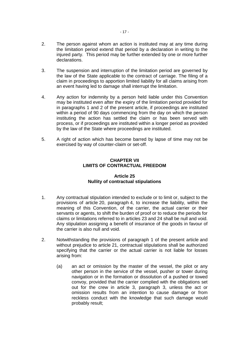- 2. The person against whom an action is instituted may at any time during the limitation period extend that period by a declaration in writing to the injured party. This period may be further extended by one or more further declarations.
- 3. The suspension and interruption of the limitation period are governed by the law of the State applicable to the contract of carriage. The filing of a claim in proceedings to apportion limited liability for all claims arising from an event having led to damage shall interrupt the limitation.
- 4. Any action for indemnity by a person held liable under this Convention may be instituted even after the expiry of the limitation period provided for in paragraphs 1 and 2 of the present article, if proceedings are instituted within a period of 90 days commencing from the day on which the person instituting the action has settled the claim or has been served with process, or if proceedings are instituted within a longer period as provided by the law of the State where proceedings are instituted.
- 5. A right of action which has become barred by lapse of time may not be exercised by way of counter-claim or set-off.

# **CHAPTER VII LIMITS OF CONTRACTUAL FREEDOM**

# **Article 25 Nullity of contractual stipulations**

- 1. Any contractual stipulation intended to exclude or to limit or, subject to the provisions of article 20, paragraph 4, to increase the liability, within the meaning of this Convention, of the carrier, the actual carrier or their servants or agents, to shift the burden of proof or to reduce the periods for claims or limitations referred to in articles 23 and 24 shall be null and void. Any stipulation assigning a benefit of insurance of the goods in favour of the carrier is also null and void.
- 2. Notwithstanding the provisions of paragraph 1 of the present article and without prejudice to article 21, contractual stipulations shall be authorized specifying that the carrier or the actual carrier is not liable for losses arising from:
	- (a) an act or omission by the master of the vessel, the pilot or any other person in the service of the vessel, pusher or tower during navigation or in the formation or dissolution of a pushed or towed convoy, provided that the carrier complied with the obligations set out for the crew in article 3, paragraph 3, unless the act or omission results from an intention to cause damage or from reckless conduct with the knowledge that such damage would probably result;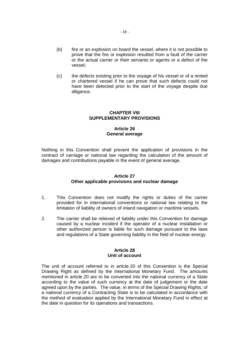- (b) fire or an explosion on board the vessel, where it is not possible to prove that the fire or explosion resulted from a fault of the carrier or the actual carrier or their servants or agents or a defect of the vessel;
- (c) the defects existing prior to the voyage of his vessel or of a rented or chartered vessel if he can prove that such defects could not have been detected prior to the start of the voyage despite due diligence.

#### **CHAPTER VIII SUPPLEMENTARY PROVISIONS**

## **Article 26 General average**

Nothing in this Convention shall prevent the application of provisions in the contract of carriage or national law regarding the calculation of the amount of damages and contributions payable in the event of general average.

## **Article 27 Other applicable provisions and nuclear damage**

- 1. This Convention does not modify the rights or duties of the carrier provided for in international conventions or national law relating to the limitation of liability of owners of inland navigation or maritime vessels.
- 2. The carrier shall be relieved of liability under this Convention for damage caused by a nuclear incident if the operator of a nuclear installation or other authorized person is liable for such damage pursuant to the laws and regulations of a State governing liability in the field of nuclear energy.

## **Article 28 Unit of account**

The unit of account referred to in article 20 of this Convention is the Special Drawing Right as defined by the International Monetary Fund. The amounts mentioned in article 20 are to be converted into the national currency of a State according to the value of such currency at the date of judgement or the date agreed upon by the parties. The value, in terms of the Special Drawing Rights, of a national currency of a Contracting State is to be calculated in accordance with the method of evaluation applied by the International Monetary Fund in effect at the date in question for its operations and transactions.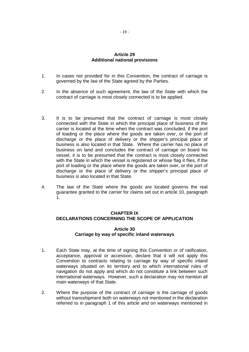# **Article 29 Additional national provisions**

- 1. In cases not provided for in this Convention, the contract of carriage is governed by the law of the State agreed by the Parties.
- 2. In the absence of such agreement, the law of the State with which the contract of carriage is most closely connected is to be applied.
- 3. It is to be presumed that the contract of carriage is most closely connected with the State in which the principal place of business of the carrier is located at the time when the contract was concluded, if the port of loading or the place where the goods are taken over, or the port of discharge or the place of delivery or the shipper's principal place of business is also located in that State. Where the carrier has no place of business on land and concludes the contract of carriage on board his vessel, it is to be presumed that the contract is most closely connected with the State in which the vessel is registered or whose flag it flies, if the port of loading or the place where the goods are taken over, or the port of discharge or the place of delivery or the shipper's principal place of business is also located in that State.
- 4. The law of the State where the goods are located governs the real guarantee granted to the carrier for claims set out in article 10, paragraph 1.

# **CHAPTER IX DECLARATIONS CONCERNING THE SCOPE OF APPLICATION**

# **Article 30 Carriage by way of specific inland waterways**

- 1. Each State may, at the time of signing this Convention or of ratification, acceptance, approval or accession, declare that it will not apply this Convention to contracts relating to carriage by way of specific inland waterways situated on its territory and to which international rules of navigation do not apply and which do not constitute a link between such international waterways. However, such a declaration may not mention all main waterways of that State.
- 2. Where the purpose of the contract of carriage is the carriage of goods without transshipment both on waterways not mentioned in the declaration referred to in paragraph 1 of this article and on waterways mentioned in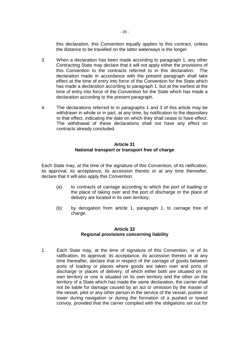this declaration, this Convention equally applies to this contract, unless the distance to be travelled on the latter waterways is the longer.

- 3. When a declaration has been made according to paragraph 1, any other Contracting State may declare that it will not apply either the provisions of this Convention to the contracts referred to in this declaration. The declaration made in accordance with the present paragraph shall take effect at the time of entry into force of the Convention for the State which has made a declaration according to paragraph 1, but at the earliest at the time of entry into force of the Convention for the State which has made a declaration according to the present paragraph.
- 4. The declarations referred to in paragraphs 1 and 3 of this article may be withdrawn in whole or in part, at any time, by notification to the depositary to that effect, indicating the date on which they shall cease to have effect. The withdrawal of these declarations shall not have any effect on contracts already concluded.

## **Article 31 National transport or transport free of charge**

Each State may, at the time of the signature of this Convention, of its ratification, its approval, its acceptance, its accession thereto or at any time thereafter, declare that it will also apply this Convention:

- (a) to contracts of carriage according to which the port of loading or the place of taking over and the port of discharge or the place of delivery are located in its own territory;
- (b) by derogation from article 1, paragraph 1, to carriage free of charge.

# **Article 32 Regional provisions concerning liability**

1. Each State may, at the time of signature of this Convention, or of its ratification, its approval, its acceptance, its accession thereto or at any time thereafter, declare that in respect of the carriage of goods between ports of loading or places where goods are taken over and ports of discharge or places of delivery, of which either both are situated on its own territory or one is situated on its own territory and the other on the territory of a State which has made the same declaration, the carrier shall not be liable for damage caused by an act or omission by the master of the vessel, pilot or any other person in the service of the vessel, pusher or tower during navigation or during the formation of a pushed or towed convoy, provided that the carrier complied with the obligations set out for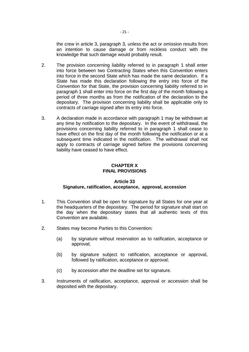the crew in article 3, paragraph 3, unless the act or omission results from an intention to cause damage or from reckless conduct with the knowledge that such damage would probably result.

- 2. The provision concerning liability referred to in paragraph 1 shall enter into force between two Contracting States when this Convention enters into force in the second State which has made the same declaration. If a State has made this declaration following the entry into force of the Convention for that State, the provision concerning liability referred to in paragraph 1 shall enter into force on the first day of the month following a period of three months as from the notification of the declaration to the depositary. The provision concerning liability shall be applicable only to contracts of carriage signed after its entry into force.
- 3. A declaration made in accordance with paragraph 1 may be withdrawn at any time by notification to the depositary. In the event of withdrawal, the provisions concerning liability referred to in paragraph 1 shall cease to have effect on the first day of the month following the notification or at a subsequent time indicated in the notification. The withdrawal shall not apply to contracts of carriage signed before the provisions concerning liability have ceased to have effect.

# **CHAPTER X FINAL PROVISIONS**

# **Article 33 Signature, ratification, acceptance, approval, accession**

- 1. This Convention shall be open for signature by all States for one year at the headquarters of the depositary. The period for signature shall start on the day when the depositary states that all authentic texts of this Convention are available.
- 2. States may become Parties to this Convention:
	- (a) by signature without reservation as to ratification, acceptance or approval;
	- (b) by signature subject to ratification, acceptance or approval, followed by ratification, acceptance or approval;
	- (c) by accession after the deadline set for signature.
- 3. Instruments of ratification, acceptance, approval or accession shall be deposited with the depositary.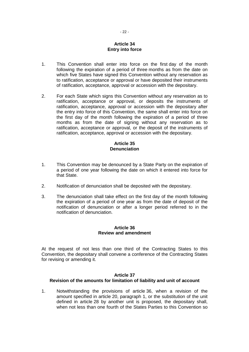# **Article 34 Entry into force**

- 1. This Convention shall enter into force on the first day of the month following the expiration of a period of three months as from the date on which five States have signed this Convention without any reservation as to ratification, acceptance or approval or have deposited their instruments of ratification, acceptance, approval or accession with the depositary.
- 2. For each State which signs this Convention without any reservation as to ratification, acceptance or approval, or deposits the instruments of ratification, acceptance, approval or accession with the depositary after the entry into force of this Convention, the same shall enter into force on the first day of the month following the expiration of a period of three months as from the date of signing without any reservation as to ratification, acceptance or approval, or the deposit of the instruments of ratification, acceptance, approval or accession with the depositary.

# **Article 35 Denunciation**

- 1. This Convention may be denounced by a State Party on the expiration of a period of one year following the date on which it entered into force for that State.
- 2. Notification of denunciation shall be deposited with the depositary.
- 3. The denunciation shall take effect on the first day of the month following the expiration of a period of one year as from the date of deposit of the notification of denunciation or after a longer period referred to in the notification of denunciation.

## **Article 36 Review and amendment**

At the request of not less than one third of the Contracting States to this Convention, the depositary shall convene a conference of the Contracting States for revising or amending it.

# **Article 37 Revision of the amounts for limitation of liability and unit of account**

1. Notwithstanding the provisions of article 36, when a revision of the amount specified in article 20, paragraph 1, or the substitution of the unit defined in article 28 by another unit is proposed, the depositary shall, when not less than one fourth of the States Parties to this Convention so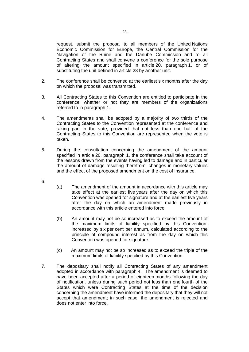request, submit the proposal to all members of the United Nations Economic Commission for Europe, the Central Commission for the Navigation of the Rhine and the Danube Commission and to all Contracting States and shall convene a conference for the sole purpose of altering the amount specified in article 20, paragraph 1, or of substituting the unit defined in article 28 by another unit.

- 2. The conference shall be convened at the earliest six months after the day on which the proposal was transmitted.
- 3. All Contracting States to this Convention are entitled to participate in the conference, whether or not they are members of the organizations referred to in paragraph 1.
- 4. The amendments shall be adopted by a majority of two thirds of the Contracting States to the Convention represented at the conference and taking part in the vote, provided that not less than one half of the Contracting States to this Convention are represented when the vote is taken.
- 5. During the consultation concerning the amendment of the amount specified in article 20, paragraph 1, the conference shall take account of the lessons drawn from the events having led to damage and in particular the amount of damage resulting therefrom, changes in monetary values and the effect of the proposed amendment on the cost of insurance.
- 6.
- (a) The amendment of the amount in accordance with this article may take effect at the earliest five years after the day on which this Convention was opened for signature and at the earliest five years after the day on which an amendment made previously in accordance with this article entered into force.
- (b) An amount may not be so increased as to exceed the amount of the maximum limits of liability specified by this Convention, increased by six per cent per annum, calculated according to the principle of compound interest as from the day on which this Convention was opened for signature.
- (c) An amount may not be so increased as to exceed the triple of the maximum limits of liability specified by this Convention.
- 7. The depositary shall notify all Contracting States of any amendment adopted in accordance with paragraph 4. The amendment is deemed to have been accepted after a period of eighteen months following the day of notification, unless during such period not less than one fourth of the States which were Contracting States at the time of the decision concerning the amendment have informed the depositary that they will not accept that amendment; in such case, the amendment is rejected and does not enter into force.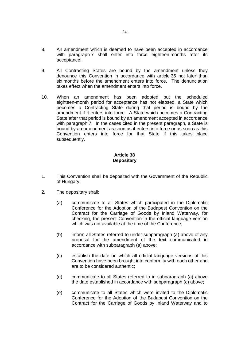- 8. An amendment which is deemed to have been accepted in accordance with paragraph 7 shall enter into force eighteen months after its acceptance.
- 9. All Contracting States are bound by the amendment unless they denounce this Convention in accordance with article 35 not later than six months before the amendment enters into force. The denunciation takes effect when the amendment enters into force.
- 10. When an amendment has been adopted but the scheduled eighteen-month period for acceptance has not elapsed, a State which becomes a Contracting State during that period is bound by the amendment if it enters into force. A State which becomes a Contracting State after that period is bound by an amendment accepted in accordance with paragraph 7. In the cases cited in the present paragraph, a State is bound by an amendment as soon as it enters into force or as soon as this Convention enters into force for that State if this takes place subsequently.

# **Article 38 Depositary**

- 1. This Convention shall be deposited with the Government of the Republic of Hungary.
- 2. The depositary shall:
	- (a) communicate to all States which participated in the Diplomatic Conference for the Adoption of the Budapest Convention on the Contract for the Carriage of Goods by Inland Waterway, for checking, the present Convention in the official language version which was not available at the time of the Conference;
	- (b) inform all States referred to under subparagraph (a) above of any proposal for the amendment of the text communicated in accordance with subparagraph (a) above;
	- (c) establish the date on which all official language versions of this Convention have been brought into conformity with each other and are to be considered authentic;
	- (d) communicate to all States referred to in subparagraph (a) above the date established in accordance with subparagraph (c) above;
	- (e) communicate to all States which were invited to the Diplomatic Conference for the Adoption of the Budapest Convention on the Contract for the Carriage of Goods by Inland Waterway and to